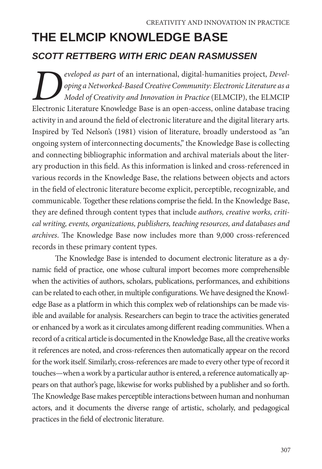# **THE ELMCIP KNOWLEDGE BASE** *SCOTT RETTBERG WITH ERIC DEAN RASMUSSEN*

*Peveloped as part of an international, digital-humanities project, Devel-*<br> *Deping a Networked-Based Creative Community: Electronic Literature as a Model of Creativity and Innovation in Practice (ELMCIP), the ELMCIP<br>
Ele oping a Networked-Based Creative Community: Electronic Literature as a Model of Creativity and Innovation in Practice* (ELMCIP), the ELMCIP Electronic Literature Knowledge Base is an open-access, online database tracing activity in and around the field of electronic literature and the digital literary arts. Inspired by Ted Nelson's (1981) vision of literature, broadly understood as "an ongoing system of interconnecting documents," the Knowledge Base is collecting and connecting bibliographic information and archival materials about the literary production in this field. As this information is linked and cross-referenced in various records in the Knowledge Base, the relations between objects and actors in the field of electronic literature become explicit, perceptible, recognizable, and communicable. Together these relations comprise the field. In the Knowledge Base, they are defined through content types that include *authors, creative works, critical writing, events, organizations, publishers, teaching resources, and databases and archives*. The Knowledge Base now includes more than 9,000 cross-referenced records in these primary content types.

The Knowledge Base is intended to document electronic literature as a dynamic field of practice, one whose cultural import becomes more comprehensible when the activities of authors, scholars, publications, performances, and exhibitions can be related to each other, in multiple configurations. We have designed the Knowledge Base as a platform in which this complex web of relationships can be made visible and available for analysis. Researchers can begin to trace the activities generated or enhanced by a work as it circulates among different reading communities. When a record of a critical article is documented in the Knowledge Base, all the creative works it references are noted, and cross-references then automatically appear on the record for the work itself. Similarly, cross-references are made to every other type of record it touches—when a work by a particular author is entered, a reference automatically appears on that author's page, likewise for works published by a publisher and so forth. The Knowledge Base makes perceptible interactions between human and nonhuman actors, and it documents the diverse range of artistic, scholarly, and pedagogical practices in the field of electronic literature.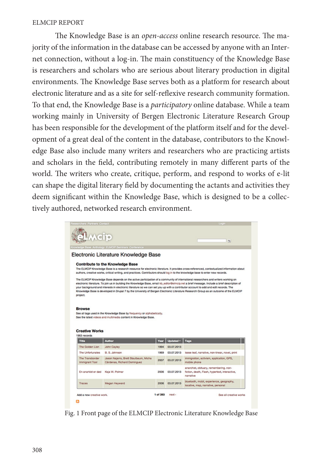The Knowledge Base is an *open-access* online research resource. The majority of the information in the database can be accessed by anyone with an Internet connection, without a log-in. The main constituency of the Knowledge Base is researchers and scholars who are serious about literary production in digital environments. The Knowledge Base serves both as a platform for research about electronic literature and as a site for self-reflexive research community formation. To that end, the Knowledge Base is a *participatory* online database. While a team working mainly in University of Bergen Electronic Literature Research Group has been responsible for the development of the platform itself and for the development of a great deal of the content in the database, contributors to the Knowledge Base also include many writers and researchers who are practicing artists and scholars in the field, contributing remotely in many different parts of the world. The writers who create, critique, perform, and respond to works of e-lit can shape the digital literary field by documenting the actants and activities they deem significant within the Knowledge Base, which is designed to be a collectively authored, networked research environment.

|                                          |                                                                                                                                            |      |            | $\alpha$                                                                                                                                   |
|------------------------------------------|--------------------------------------------------------------------------------------------------------------------------------------------|------|------------|--------------------------------------------------------------------------------------------------------------------------------------------|
|                                          | Knowledge Base Anthology ELMCIP Seminars Conference                                                                                        |      |            |                                                                                                                                            |
|                                          | Electronic Literature Knowledge Base                                                                                                       |      |            |                                                                                                                                            |
|                                          | <b>Contribute to the Knowledge Base</b>                                                                                                    |      |            |                                                                                                                                            |
|                                          |                                                                                                                                            |      |            | The ELMCIP Knowledge Base is a research resource for electronic literature. It provides cross-referenced, contextualized information about |
|                                          | authors, creative works, critical writing, and practices. Contributors should log in to the knowledge base to enter new records.           |      |            |                                                                                                                                            |
|                                          |                                                                                                                                            |      |            | Knowledge Base is developed in Drupal 7 by the University of Bergen Electronic Literature Research Group as an outcome of the ELMCIP       |
| project.<br><b>Browse</b>                | See all tags used in the Knowledge Base by frequency or alphabetically.<br>See the latest videos and multimedia content in Knowledge Base. |      |            |                                                                                                                                            |
| <b>Creative Works</b><br>1963 records    |                                                                                                                                            |      |            |                                                                                                                                            |
| Title                                    | <b>Author</b>                                                                                                                              | Year | Updated -  | Tags                                                                                                                                       |
| The Golden Lion                          | John Cayley                                                                                                                                | 1994 | 03.07.2013 |                                                                                                                                            |
| The Unfortunates                         | B. S. Johnson                                                                                                                              | 1969 | 03.07.2013 | loose leaf, narrative, non-linear, novel, print                                                                                            |
| The Transborder<br><b>Immigrant Tool</b> | Jason Najarro, Brett Staulbaum, Micha<br>Cárdenas, Richard Dominguez                                                                       | 2007 | 03.07.2013 | immigration, activism, application, GPS,<br>mobile phone                                                                                   |
| En anarkist er død                       | Kaia W. Polmar                                                                                                                             | 2006 | 03.07.2013 | anarchist, obituary, remembering, non-<br>fiction, death, Flash, hypertext, interactive,<br>narrative                                      |

Fig. 1 Front page of the ELMCIP Electronic Literature Knowledge Base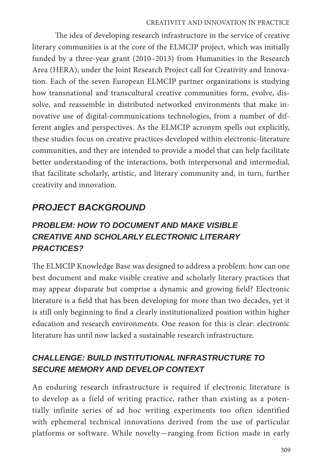The idea of developing research infrastructure in the service of creative literary communities is at the core of the ELMCIP project, which was initially funded by a three-year grant (2010–2013) from Humanities in the Research Area (HERA), under the Joint Research Project call for Creativity and Innovation. Each of the seven European ELMCIP partner organizations is studying how transnational and transcultural creative communities form, evolve, dissolve, and reassemble in distributed networked environments that make innovative use of digital-communications technologies, from a number of different angles and perspectives. As the ELMCIP acronym spells out explicitly, these studies focus on creative practices developed within electronic-literature communities, and they are intended to provide a model that can help facilitate better understanding of the interactions, both interpersonal and intermedial, that facilitate scholarly, artistic, and literary community and, in turn, further creativity and innovation.

# *PROJECT BACKGROUND*

# *PROBLEM: HOW TO DOCUMENT AND MAKE VISIBLE CREATIVE AND SCHOLARLY ELECTRONIC LITERARY PRACTICES?*

The ELMCIP Knowledge Base was designed to address a problem: how can one best document and make visible creative and scholarly literary practices that may appear disparate but comprise a dynamic and growing field? Electronic literature is a field that has been developing for more than two decades, yet it is still only beginning to find a clearly institutionalized position within higher education and research environments. One reason for this is clear: electronic literature has until now lacked a sustainable research infrastructure.

# *CHALLENGE: BUILD INSTITUTIONAL INFRASTRUCTURE TO SECURE MEMORY AND DEVELOP CONTEXT*

An enduring research infrastructure is required if electronic literature is to develop as a field of writing practice, rather than existing as a potentially infinite series of ad hoc writing experiments too often identified with ephemeral technical innovations derived from the use of particular platforms or software. While novelty—ranging from fiction made in early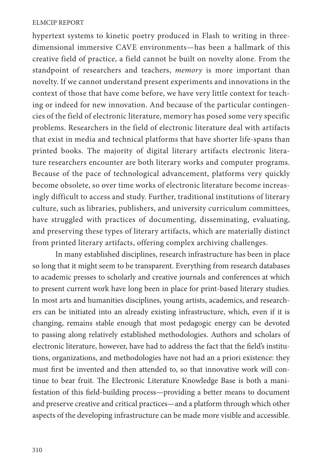hypertext systems to kinetic poetry produced in Flash to writing in threedimensional immersive CAVE environments—has been a hallmark of this creative field of practice, a field cannot be built on novelty alone. From the standpoint of researchers and teachers, *memory* is more important than novelty. If we cannot understand present experiments and innovations in the context of those that have come before, we have very little context for teaching or indeed for new innovation. And because of the particular contingencies of the field of electronic literature, memory has posed some very specific problems. Researchers in the field of electronic literature deal with artifacts that exist in media and technical platforms that have shorter life-spans than printed books. The majority of digital literary artifacts electronic literature researchers encounter are both literary works and computer programs. Because of the pace of technological advancement, platforms very quickly become obsolete, so over time works of electronic literature become increasingly difficult to access and study. Further, traditional institutions of literary culture, such as libraries, publishers, and university curriculum committees, have struggled with practices of documenting, disseminating, evaluating, and preserving these types of literary artifacts, which are materially distinct from printed literary artifacts, offering complex archiving challenges.

In many established disciplines, research infrastructure has been in place so long that it might seem to be transparent. Everything from research databases to academic presses to scholarly and creative journals and conferences at which to present current work have long been in place for print-based literary studies. In most arts and humanities disciplines, young artists, academics, and researchers can be initiated into an already existing infrastructure, which, even if it is changing, remains stable enough that most pedagogic energy can be devoted to passing along relatively established methodologies. Authors and scholars of electronic literature, however, have had to address the fact that the field's institutions, organizations, and methodologies have not had an a priori existence: they must first be invented and then attended to, so that innovative work will continue to bear fruit. The Electronic Literature Knowledge Base is both a manifestation of this field-building process—providing a better means to document and preserve creative and critical practices—and a platform through which other aspects of the developing infrastructure can be made more visible and accessible.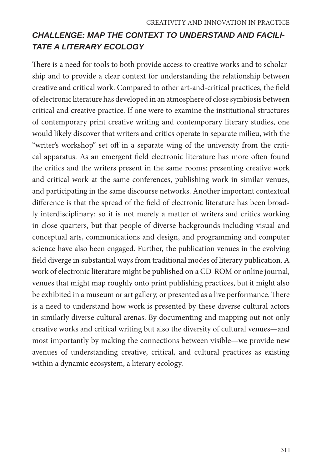# *CHALLENGE: MAP THE CONTEXT TO UNDERSTAND AND FACILI-TATE A LITERARY ECOLOGY*

There is a need for tools to both provide access to creative works and to scholarship and to provide a clear context for understanding the relationship between creative and critical work. Compared to other art-and-critical practices, the field of electronic literature has developed in an atmosphere of close symbiosis between critical and creative practice. If one were to examine the institutional structures of contemporary print creative writing and contemporary literary studies, one would likely discover that writers and critics operate in separate milieu, with the "writer's workshop" set off in a separate wing of the university from the critical apparatus. As an emergent field electronic literature has more often found the critics and the writers present in the same rooms: presenting creative work and critical work at the same conferences, publishing work in similar venues, and participating in the same discourse networks. Another important contextual difference is that the spread of the field of electronic literature has been broadly interdisciplinary: so it is not merely a matter of writers and critics working in close quarters, but that people of diverse backgrounds including visual and conceptual arts, communications and design, and programming and computer science have also been engaged. Further, the publication venues in the evolving field diverge in substantial ways from traditional modes of literary publication. A work of electronic literature might be published on a CD-ROM or online journal, venues that might map roughly onto print publishing practices, but it might also be exhibited in a museum or art gallery, or presented as a live performance. There is a need to understand how work is presented by these diverse cultural actors in similarly diverse cultural arenas. By documenting and mapping out not only creative works and critical writing but also the diversity of cultural venues—and most importantly by making the connections between visible—we provide new avenues of understanding creative, critical, and cultural practices as existing within a dynamic ecosystem, a literary ecology.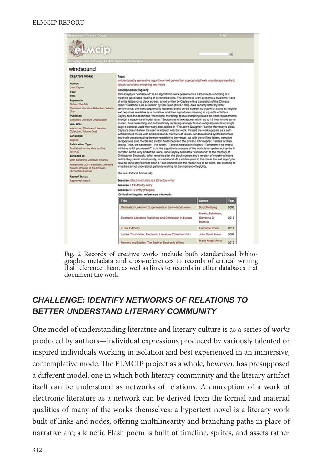|                                                                                                                                                                                                                                                                                                    |                                                                                                                                                                                                              | Login                                 |              |  |  |  |
|----------------------------------------------------------------------------------------------------------------------------------------------------------------------------------------------------------------------------------------------------------------------------------------------------|--------------------------------------------------------------------------------------------------------------------------------------------------------------------------------------------------------------|---------------------------------------|--------------|--|--|--|
|                                                                                                                                                                                                                                                                                                    |                                                                                                                                                                                                              |                                       | $\mathbf{Q}$ |  |  |  |
| edge Base Anthology ELMCIP Seminars Conference                                                                                                                                                                                                                                                     |                                                                                                                                                                                                              |                                       |              |  |  |  |
|                                                                                                                                                                                                                                                                                                    |                                                                                                                                                                                                              |                                       |              |  |  |  |
| windsound                                                                                                                                                                                                                                                                                          |                                                                                                                                                                                                              |                                       |              |  |  |  |
|                                                                                                                                                                                                                                                                                                    |                                                                                                                                                                                                              |                                       |              |  |  |  |
| <b>CREATIVE WORK</b>                                                                                                                                                                                                                                                                               | Tags:                                                                                                                                                                                                        |                                       |              |  |  |  |
| <b>Author:</b>                                                                                                                                                                                                                                                                                     | ambient poetry generative algorithmic text generation appropriated texts soundscape synthetic                                                                                                                |                                       |              |  |  |  |
| <b>John Cayley</b>                                                                                                                                                                                                                                                                                 | voices transiteral morphing text movie                                                                                                                                                                       |                                       |              |  |  |  |
| Year:                                                                                                                                                                                                                                                                                              | <b>Description (in English):</b>                                                                                                                                                                             |                                       |              |  |  |  |
| 1998                                                                                                                                                                                                                                                                                               | John Cayley's "windsound" is an algorithmic work presented as a 23-minute recording of a                                                                                                                     |                                       |              |  |  |  |
| Appears in:                                                                                                                                                                                                                                                                                        | machine-generated reading of scrambled texts. The cinematic work presents a quicktime-video                                                                                                                  |                                       |              |  |  |  |
| State of the Arts                                                                                                                                                                                                                                                                                  | of white letters on a black screen, a text written by Cayley with a translation of the Chinese                                                                                                               |                                       |              |  |  |  |
| Electronic Literature Collection, Volume                                                                                                                                                                                                                                                           | poem "Cadence: Like a Dream" by Qin Guan (1049-1100). As a sensory letter-by-letter<br>performance, the work sequentially replaces letters on the screen, so that what starts as illegible                   |                                       |              |  |  |  |
| One                                                                                                                                                                                                                                                                                                | text becomes readable as a narrative, and then again loses meaning in a jumble of letters.                                                                                                                   |                                       |              |  |  |  |
| Publisher:                                                                                                                                                                                                                                                                                         | Cayley calls this technique "transifieral morphing: textual morphing based on letter replacements                                                                                                            |                                       |              |  |  |  |
| Electronic Literature Organization                                                                                                                                                                                                                                                                 | through a sequence of nodal texts." Sequences of text appear within up to 15 lines on the same                                                                                                               |                                       |              |  |  |  |
| Web URL:                                                                                                                                                                                                                                                                                           | screen, thus presenting and automatically replacing a longer text on a digitally simulated single                                                                                                            |                                       |              |  |  |  |
| windsound (Electronic Literature                                                                                                                                                                                                                                                                   | page-a concept Judd Morrissey also applies in "The Jew's Daughter." Unlike Morrissey's piece,<br>Cayley's doesn't allow the user to interact with the work. Instead the work appears as a self-              |                                       |              |  |  |  |
| Collection, Volume One)                                                                                                                                                                                                                                                                            |                                                                                                                                                                                                              |                                       |              |  |  |  |
|                                                                                                                                                                                                                                                                                                    |                                                                                                                                                                                                              |                                       |              |  |  |  |
|                                                                                                                                                                                                                                                                                                    | sufficient text-movie with ambient sound, murmurs of voices, windsound and synthetic female<br>and male voices reading the non-readable to the viewer. As with the shifting letters, narrative               |                                       |              |  |  |  |
|                                                                                                                                                                                                                                                                                                    | perspectives also morph and switch fluidly between the lyrical-I, Christopher, Tanaka or Xiao                                                                                                                |                                       |              |  |  |  |
|                                                                                                                                                                                                                                                                                                    | Zhang. Thus, the sentence: "We know," Tanaka had said in English/"Tomorrow if we meet/l                                                                                                                      |                                       |              |  |  |  |
|                                                                                                                                                                                                                                                                                                    | will have to kill you myself/" is, in the algorithmic process of the work, later spelled out by the I-                                                                                                       |                                       |              |  |  |  |
|                                                                                                                                                                                                                                                                                                    | narrator. At the very end of the work, John Cayley dedicates "windsound" to the memory of                                                                                                                    |                                       |              |  |  |  |
|                                                                                                                                                                                                                                                                                                    | Christopher Bledowski, What remains after the black screen and a re-start of morphing letters                                                                                                                |                                       |              |  |  |  |
|                                                                                                                                                                                                                                                                                                    | before they vanish conclusively, is windsound. At a certain point in the movie the text says "you<br>have to be/to stay/silent/to hear it," and it seems like the reader has to be silent, too, listening to |                                       |              |  |  |  |
|                                                                                                                                                                                                                                                                                                    | what he cannot understand, patiently waiting for the moment of legibility.                                                                                                                                   |                                       |              |  |  |  |
|                                                                                                                                                                                                                                                                                                    |                                                                                                                                                                                                              |                                       |              |  |  |  |
|                                                                                                                                                                                                                                                                                                    | (Source: Patricia Tomaszek)                                                                                                                                                                                  |                                       |              |  |  |  |
|                                                                                                                                                                                                                                                                                                    |                                                                                                                                                                                                              |                                       |              |  |  |  |
|                                                                                                                                                                                                                                                                                                    | See also: Electronic Literature Directory entry                                                                                                                                                              |                                       |              |  |  |  |
|                                                                                                                                                                                                                                                                                                    | See also: I v E-Poetry entry                                                                                                                                                                                 |                                       |              |  |  |  |
|                                                                                                                                                                                                                                                                                                    | See also: NT2 entry (français)                                                                                                                                                                               |                                       |              |  |  |  |
|                                                                                                                                                                                                                                                                                                    | Critical writing that references this work:                                                                                                                                                                  |                                       |              |  |  |  |
|                                                                                                                                                                                                                                                                                                    | Title                                                                                                                                                                                                        | <b>Author</b>                         | Year         |  |  |  |
| Language:<br>English<br><b>Publication Type:</b><br>Published on the Web (online<br>journal)<br>Exhibited at:<br>2001 Electronic Literature Awards<br>Interactions: 2001 Electronic Literature<br>Awards Winners at the Chicago<br>Humanities Festival<br><b>Record Status:</b><br>Approved record | Destination Unknown: Experiments in the Network Novel                                                                                                                                                        | Scott Rettberg                        | 2003         |  |  |  |
|                                                                                                                                                                                                                                                                                                    |                                                                                                                                                                                                              | Markku Eskelinen,                     |              |  |  |  |
|                                                                                                                                                                                                                                                                                                    | Electronic Literature Publishing and Distribution in Europe                                                                                                                                                  | Glovanna Di                           | 2012         |  |  |  |
|                                                                                                                                                                                                                                                                                                    |                                                                                                                                                                                                              | Rosario                               |              |  |  |  |
|                                                                                                                                                                                                                                                                                                    | I Love E-Poetry                                                                                                                                                                                              | Leonardo Flores                       | 2011         |  |  |  |
|                                                                                                                                                                                                                                                                                                    |                                                                                                                                                                                                              |                                       |              |  |  |  |
|                                                                                                                                                                                                                                                                                                    | Letters That Matter: Electronic Literature Collection Vol 1                                                                                                                                                  | John David Zuern<br>Maria Angel, Anna | 2007         |  |  |  |

Fig. 2 Records of creative works include both standardized bibliographic metadata and cross-references to records of critical writing that reference them, as well as links to records in other databases that document the work.

# *CHALLENGE: IDENTIFY NETWORKS OF RELATIONS TO BETTER UNDERSTAND LITERARY COMMUNITY*

One model of understanding literature and literary culture is as a series of *works*  produced by authors—individual expressions produced by variously talented or inspired individuals working in isolation and best experienced in an immersive, contemplative mode. The ELMCIP project as a whole, however, has presupposed a different model, one in which both literary community and the literary artifact itself can be understood as networks of relations. A conception of a work of electronic literature as a network can be derived from the formal and material qualities of many of the works themselves: a hypertext novel is a literary work built of links and nodes, offering multilinearity and branching paths in place of narrative arc; a kinetic Flash poem is built of timeline, sprites, and assets rather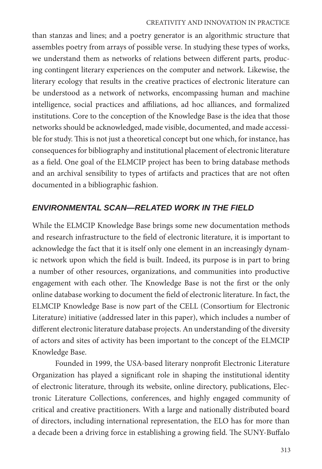### CREATIVITY AND INNOVATION IN PRACTICE

than stanzas and lines; and a poetry generator is an algorithmic structure that assembles poetry from arrays of possible verse. In studying these types of works, we understand them as networks of relations between different parts, producing contingent literary experiences on the computer and network. Likewise, the literary ecology that results in the creative practices of electronic literature can be understood as a network of networks, encompassing human and machine intelligence, social practices and affiliations, ad hoc alliances, and formalized institutions. Core to the conception of the Knowledge Base is the idea that those networks should be acknowledged, made visible, documented, and made accessible for study. This is not just a theoretical concept but one which, for instance, has consequences for bibliography and institutional placement of electronic literature as a field. One goal of the ELMCIP project has been to bring database methods and an archival sensibility to types of artifacts and practices that are not often documented in a bibliographic fashion.

### *ENVIRONMENTAL SCAN—RELATED WORK IN THE FIELD*

While the ELMCIP Knowledge Base brings some new documentation methods and research infrastructure to the field of electronic literature, it is important to acknowledge the fact that it is itself only one element in an increasingly dynamic network upon which the field is built. Indeed, its purpose is in part to bring a number of other resources, organizations, and communities into productive engagement with each other. The Knowledge Base is not the first or the only online database working to document the field of electronic literature. In fact, the ELMCIP Knowledge Base is now part of the CELL (Consortium for Electronic Literature) initiative (addressed later in this paper), which includes a number of different electronic literature database projects. An understanding of the diversity of actors and sites of activity has been important to the concept of the ELMCIP Knowledge Base.

Founded in 1999, the USA-based literary nonprofit Electronic Literature Organization has played a significant role in shaping the institutional identity of electronic literature, through its website, online directory, publications, Electronic Literature Collections, conferences, and highly engaged community of critical and creative practitioners. With a large and nationally distributed board of directors, including international representation, the ELO has for more than a decade been a driving force in establishing a growing field. The SUNY-Buffalo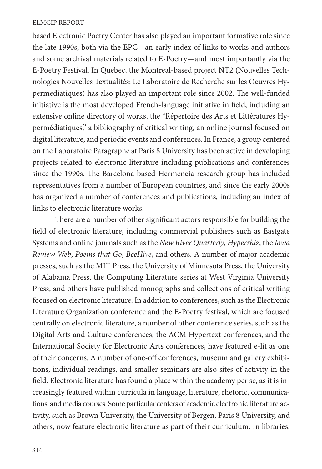based Electronic Poetry Center has also played an important formative role since the late 1990s, both via the EPC—an early index of links to works and authors and some archival materials related to E-Poetry—and most importantly via the E-Poetry Festival. In Quebec, the Montreal-based project NT2 (Nouvelles Technologies Nouvelles Textualités: Le Laboratoire de Recherche sur les Oeuvres Hypermediatiques) has also played an important role since 2002. The well-funded initiative is the most developed French-language initiative in field, including an extensive online directory of works, the "Répertoire des Arts et Littératures Hypermédiatiques," a bibliography of critical writing, an online journal focused on digital literature, and periodic events and conferences. In France, a group centered on the Laboratoire Paragraphe at Paris 8 University has been active in developing projects related to electronic literature including publications and conferences since the 1990s. The Barcelona-based Hermeneia research group has included representatives from a number of European countries, and since the early 2000s has organized a number of conferences and publications, including an index of links to electronic literature works.

There are a number of other significant actors responsible for building the field of electronic literature, including commercial publishers such as Eastgate Systems and online journals such as the *New River Quarterly*, *Hyperrhiz*, the *Iowa Review Web*, *Poems that Go*, *BeeHive*, and others. A number of major academic presses, such as the MIT Press, the University of Minnesota Press, the University of Alabama Press, the Computing Literature series at West Virginia University Press, and others have published monographs and collections of critical writing focused on electronic literature. In addition to conferences, such as the Electronic Literature Organization conference and the E-Poetry festival, which are focused centrally on electronic literature, a number of other conference series, such as the Digital Arts and Culture conferences, the ACM Hypertext conferences, and the International Society for Electronic Arts conferences, have featured e-lit as one of their concerns. A number of one-off conferences, museum and gallery exhibitions, individual readings, and smaller seminars are also sites of activity in the field. Electronic literature has found a place within the academy per se, as it is increasingly featured within curricula in language, literature, rhetoric, communications, and media courses. Some particular centers of academic electronic literature activity, such as Brown University, the University of Bergen, Paris 8 University, and others, now feature electronic literature as part of their curriculum. In libraries,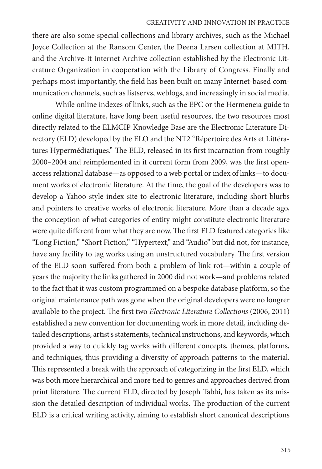#### CREATIVITY AND INNOVATION IN PRACTICE

there are also some special collections and library archives, such as the Michael Joyce Collection at the Ransom Center, the Deena Larsen collection at MITH, and the Archive-It Internet Archive collection established by the Electronic Literature Organization in cooperation with the Library of Congress. Finally and perhaps most importantly, the field has been built on many Internet-based communication channels, such as listservs, weblogs, and increasingly in social media.

While online indexes of links, such as the EPC or the Hermeneia guide to online digital literature, have long been useful resources, the two resources most directly related to the ELMCIP Knowledge Base are the Electronic Literature Directory (ELD) developed by the ELO and the NT2 "Répertoire des Arts et Littératures Hypermédiatiques." The ELD, released in its first incarnation from roughly 2000–2004 and reimplemented in it current form from 2009, was the first openaccess relational database—as opposed to a web portal or index of links—to document works of electronic literature. At the time, the goal of the developers was to develop a Yahoo-style index site to electronic literature, including short blurbs and pointers to creative works of electronic literature. More than a decade ago, the conception of what categories of entity might constitute electronic literature were quite different from what they are now. The first ELD featured categories like "Long Fiction," "Short Fiction," "Hypertext," and "Audio" but did not, for instance, have any facility to tag works using an unstructured vocabulary. The first version of the ELD soon suffered from both a problem of link rot—within a couple of years the majority the links gathered in 2000 did not work—and problems related to the fact that it was custom programmed on a bespoke database platform, so the original maintenance path was gone when the original developers were no longrer available to the project. The first two *Electronic Literature Collections* (2006, 2011) established a new convention for documenting work in more detail, including detailed descriptions, artist's statements, technical instructions, and keywords, which provided a way to quickly tag works with different concepts, themes, platforms, and techniques, thus providing a diversity of approach patterns to the material. This represented a break with the approach of categorizing in the first ELD, which was both more hierarchical and more tied to genres and approaches derived from print literature. The current ELD, directed by Joseph Tabbi, has taken as its mission the detailed description of individual works. The production of the current ELD is a critical writing activity, aiming to establish short canonical descriptions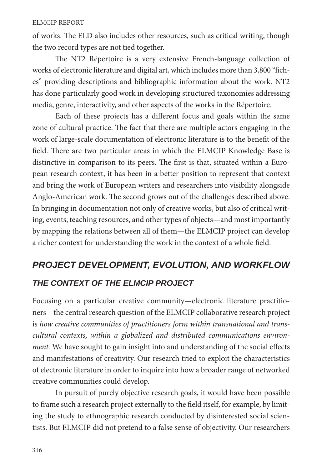of works. The ELD also includes other resources, such as critical writing, though the two record types are not tied together.

The NT2 Répertoire is a very extensive French-language collection of works of electronic literature and digital art, which includes more than 3,800 "fiches" providing descriptions and bibliographic information about the work. NT2 has done particularly good work in developing structured taxonomies addressing media, genre, interactivity, and other aspects of the works in the Répertoire.

Each of these projects has a different focus and goals within the same zone of cultural practice. The fact that there are multiple actors engaging in the work of large-scale documentation of electronic literature is to the benefit of the field. There are two particular areas in which the ELMCIP Knowledge Base is distinctive in comparison to its peers. The first is that, situated within a European research context, it has been in a better position to represent that context and bring the work of European writers and researchers into visibility alongside Anglo-American work. The second grows out of the challenges described above. In bringing in documentation not only of creative works, but also of critical writing, events, teaching resources, and other types of objects—and most importantly by mapping the relations between all of them—the ELMCIP project can develop a richer context for understanding the work in the context of a whole field.

# *PROJECT DEVELOPMENT, EVOLUTION, AND WORKFLOW THE CONTEXT OF THE ELMCIP PROJECT*

Focusing on a particular creative community—electronic literature practitioners—the central research question of the ELMCIP collaborative research project is *how creative communities of practitioners form within transnational and transcultural contexts, within a globalized and distributed communications environment.* We have sought to gain insight into and understanding of the social effects and manifestations of creativity. Our research tried to exploit the characteristics of electronic literature in order to inquire into how a broader range of networked creative communities could develop.

In pursuit of purely objective research goals, it would have been possible to frame such a research project externally to the field itself, for example, by limiting the study to ethnographic research conducted by disinterested social scientists. But ELMCIP did not pretend to a false sense of objectivity. Our researchers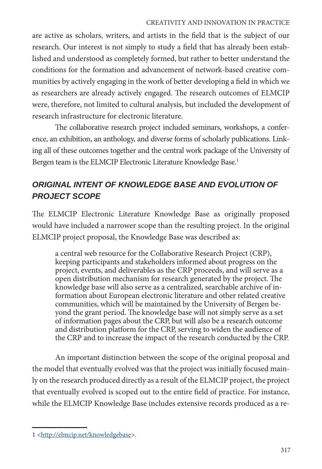### CREATIVITY AND INNOVATION IN PRACTICE

are active as scholars, writers, and artists in the field that is the subject of our research. Our interest is not simply to study a field that has already been established and understood as completely formed, but rather to better understand the conditions for the formation and advancement of network-based creative communities by actively engaging in the work of better developing a field in which we as researchers are already actively engaged. The research outcomes of ELMCIP were, therefore, not limited to cultural analysis, but included the development of research infrastructure for electronic literature.

The collaborative research project included seminars, workshops, a conference, an exhibition, an anthology, and diverse forms of scholarly publications. Linking all of these outcomes together and the central work package of the University of Bergen team is the ELMCIP Electronic Literature Knowledge Base.<sup>1</sup>

# *ORIGINAL INTENT OF KNOWLEDGE BASE AND EVOLUTION OF PROJECT SCOPE*

The ELMCIP Electronic Literature Knowledge Base as originally proposed would have included a narrower scope than the resulting project. In the original ELMCIP project proposal, the Knowledge Base was described as:

a central web resource for the Collaborative Research Project (CRP), keeping participants and stakeholders informed about progress on the project, events, and deliverables as the CRP proceeds, and will serve as a open distribution mechanism for research generated by the project. The knowledge base will also serve as a centralized, searchable archive of information about European electronic literature and other related creative communities, which will be maintained by the University of Bergen beyond the grant period. The knowledge base will not simply serve as a set of information pages about the CRP, but will also be a research outcome and distribution platform for the CRP, serving to widen the audience of the CRP and to increase the impact of the research conducted by the CRP.

An important distinction between the scope of the original proposal and the model that eventually evolved was that the project was initially focused mainly on the research produced directly as a result of the ELMCIP project, the project that eventually evolved is scoped out to the entire field of practice. For instance, while the ELMCIP Knowledge Base includes extensive records produced as a re-

<sup>1 &</sup>lt;http://elmcip.net/knowledgebase>.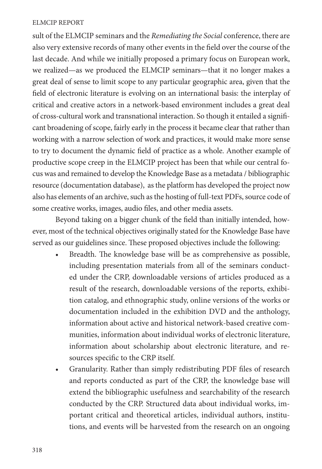sult of the ELMCIP seminars and the *Remediating the Social* conference, there are also very extensive records of many other events in the field over the course of the last decade. And while we initially proposed a primary focus on European work, we realized—as we produced the ELMCIP seminars—that it no longer makes a great deal of sense to limit scope to any particular geographic area, given that the field of electronic literature is evolving on an international basis: the interplay of critical and creative actors in a network-based environment includes a great deal of cross-cultural work and transnational interaction. So though it entailed a significant broadening of scope, fairly early in the process it became clear that rather than working with a narrow selection of work and practices, it would make more sense to try to document the dynamic field of practice as a whole. Another example of productive scope creep in the ELMCIP project has been that while our central focus was and remained to develop the Knowledge Base as a metadata / bibliographic resource (documentation database), as the platform has developed the project now also has elements of an archive, such as the hosting of full-text PDFs, source code of some creative works, images, audio files, and other media assets.

Beyond taking on a bigger chunk of the field than initially intended, however, most of the technical objectives originally stated for the Knowledge Base have served as our guidelines since. These proposed objectives include the following:

- Breadth. The knowledge base will be as comprehensive as possible, including presentation materials from all of the seminars conducted under the CRP, downloadable versions of articles produced as a result of the research, downloadable versions of the reports, exhibition catalog, and ethnographic study, online versions of the works or documentation included in the exhibition DVD and the anthology, information about active and historical network-based creative communities, information about individual works of electronic literature, information about scholarship about electronic literature, and resources specific to the CRP itself.
- Granularity. Rather than simply redistributing PDF files of research and reports conducted as part of the CRP, the knowledge base will extend the bibliographic usefulness and searchability of the research conducted by the CRP. Structured data about individual works, important critical and theoretical articles, individual authors, institutions, and events will be harvested from the research on an ongoing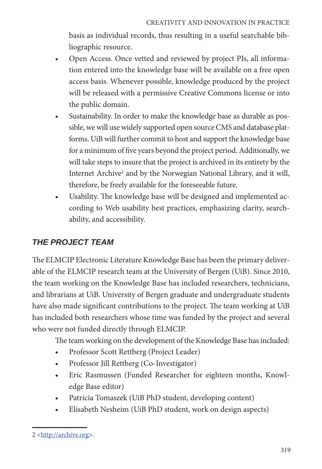basis as individual records, thus resulting in a useful searchable bibliographic resource.

- Open Access. Once vetted and reviewed by project PIs, all information entered into the knowledge base will be available on a free open access basis. Whenever possible, knowledge produced by the project will be released with a permissive Creative Commons license or into the public domain.
- Sustainability. In order to make the knowledge base as durable as possible, we will use widely supported open source CMS and database platforms. UiB will further commit to host and support the knowledge base for a minimum of five years beyond the project period. Additionally, we will take steps to insure that the project is archived in its entirety by the Internet Archive<sup>2</sup> and by the Norwegian National Library, and it will, therefore, be freely available for the foreseeable future.
- Usability. The knowledge base will be designed and implemented according to Web usability best practices, emphasizing clarity, searchability, and accessibility.

# *THE PROJECT TEAM*

The ELMCIP Electronic Literature Knowledge Base has been the primary deliverable of the ELMCIP research team at the University of Bergen (UiB). Since 2010, the team working on the Knowledge Base has included researchers, technicians, and librarians at UiB. University of Bergen graduate and undergraduate students have also made significant contributions to the project. The team working at UiB has included both researchers whose time was funded by the project and several who were not funded directly through ELMCIP.

The team working on the development of the Knowledge Base has included:

- Professor Scott Rettberg (Project Leader)
- Professor Jill Rettberg (Co-Investigator)
- Eric Rasmussen (Funded Researcher for eighteen months, Knowledge Base editor)
- Patricia Tomaszek (UiB PhD student, developing content)
- Elisabeth Nesheim (UiB PhD student, work on design aspects)

<sup>2 &</sup>lt;http://archive.org>.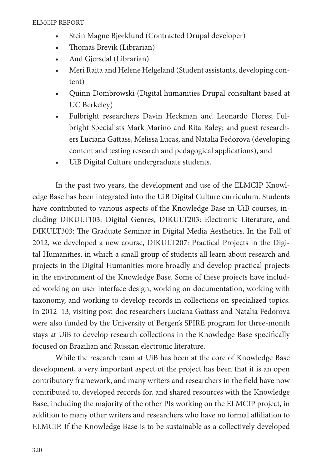- Stein Magne Bjørklund (Contracted Drupal developer)
- Thomas Brevik (Librarian)
- Aud Gjersdal (Librarian)
- Meri Raita and Helene Helgeland (Student assistants, developing content)
- Quinn Dombrowski (Digital humanities Drupal consultant based at UC Berkeley)
- Fulbright researchers Davin Heckman and Leonardo Flores; Fulbright Specialists Mark Marino and Rita Raley; and guest researchers Luciana Gattass, Melissa Lucas, and Natalia Fedorova (developing content and testing research and pedagogical applications), and
- UiB Digital Culture undergraduate students.

In the past two years, the development and use of the ELMCIP Knowledge Base has been integrated into the UiB Digital Culture curriculum. Students have contributed to various aspects of the Knowledge Base in UiB courses, including DIKULT103: Digital Genres, DIKULT203: Electronic Literature, and DIKULT303: The Graduate Seminar in Digital Media Aesthetics. In the Fall of 2012, we developed a new course, DIKULT207: Practical Projects in the Digital Humanities, in which a small group of students all learn about research and projects in the Digital Humanities more broadly and develop practical projects in the environment of the Knowledge Base. Some of these projects have included working on user interface design, working on documentation, working with taxonomy, and working to develop records in collections on specialized topics. In 2012–13, visiting post-doc researchers Luciana Gattass and Natalia Fedorova were also funded by the University of Bergen's SPIRE program for three-month stays at UiB to develop research collections in the Knowledge Base specifically focused on Brazilian and Russian electronic literature.

While the research team at UiB has been at the core of Knowledge Base development, a very important aspect of the project has been that it is an open contributory framework, and many writers and researchers in the field have now contributed to, developed records for, and shared resources with the Knowledge Base, including the majority of the other PIs working on the ELMCIP project, in addition to many other writers and researchers who have no formal affiliation to ELMCIP. If the Knowledge Base is to be sustainable as a collectively developed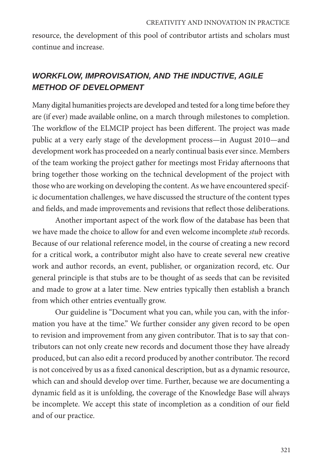resource, the development of this pool of contributor artists and scholars must continue and increase.

# *WORKFLOW, IMPROVISATION, AND THE INDUCTIVE, AGILE METHOD OF DEVELOPMENT*

Many digital humanities projects are developed and tested for a long time before they are (if ever) made available online, on a march through milestones to completion. The workflow of the ELMCIP project has been different. The project was made public at a very early stage of the development process—in August 2010—and development work has proceeded on a nearly continual basis ever since. Members of the team working the project gather for meetings most Friday afternoons that bring together those working on the technical development of the project with those who are working on developing the content. As we have encountered specific documentation challenges, we have discussed the structure of the content types and fields, and made improvements and revisions that reflect those deliberations.

Another important aspect of the work flow of the database has been that we have made the choice to allow for and even welcome incomplete *stub* records. Because of our relational reference model, in the course of creating a new record for a critical work, a contributor might also have to create several new creative work and author records, an event, publisher, or organization record, etc. Our general principle is that stubs are to be thought of as seeds that can be revisited and made to grow at a later time. New entries typically then establish a branch from which other entries eventually grow.

Our guideline is "Document what you can, while you can, with the information you have at the time." We further consider any given record to be open to revision and improvement from any given contributor. That is to say that contributors can not only create new records and document those they have already produced, but can also edit a record produced by another contributor. The record is not conceived by us as a fixed canonical description, but as a dynamic resource, which can and should develop over time. Further, because we are documenting a dynamic field as it is unfolding, the coverage of the Knowledge Base will always be incomplete. We accept this state of incompletion as a condition of our field and of our practice.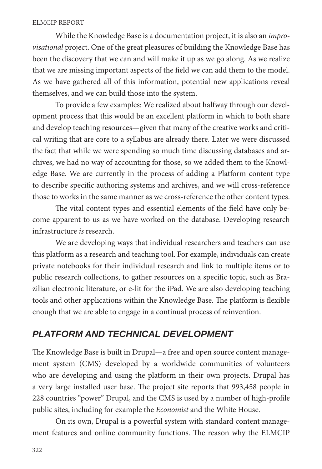While the Knowledge Base is a documentation project, it is also an *improvisational* project. One of the great pleasures of building the Knowledge Base has been the discovery that we can and will make it up as we go along. As we realize that we are missing important aspects of the field we can add them to the model. As we have gathered all of this information, potential new applications reveal themselves, and we can build those into the system.

To provide a few examples: We realized about halfway through our development process that this would be an excellent platform in which to both share and develop teaching resources—given that many of the creative works and critical writing that are core to a syllabus are already there. Later we were discussed the fact that while we were spending so much time discussing databases and archives, we had no way of accounting for those, so we added them to the Knowledge Base. We are currently in the process of adding a Platform content type to describe specific authoring systems and archives, and we will cross-reference those to works in the same manner as we cross-reference the other content types.

The vital content types and essential elements of the field have only become apparent to us as we have worked on the database. Developing research infrastructure *is* research.

We are developing ways that individual researchers and teachers can use this platform as a research and teaching tool. For example, individuals can create private notebooks for their individual research and link to multiple items or to public research collections, to gather resources on a specific topic, such as Brazilian electronic literature, or e-lit for the iPad. We are also developing teaching tools and other applications within the Knowledge Base. The platform is flexible enough that we are able to engage in a continual process of reinvention.

# *PLATFORM AND TECHNICAL DEVELOPMENT*

The Knowledge Base is built in Drupal—a free and open source content management system (CMS) developed by a worldwide communities of volunteers who are developing and using the platform in their own projects. Drupal has a very large installed user base. The project site reports that 993,458 people in 228 countries "power" Drupal, and the CMS is used by a number of high-profile public sites, including for example the *Economist* and the White House.

On its own, Drupal is a powerful system with standard content management features and online community functions. The reason why the ELMCIP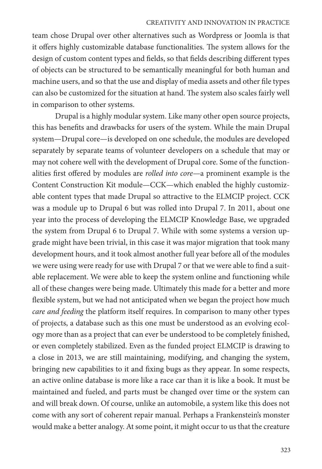#### CREATIVITY AND INNOVATION IN PRACTICE

team chose Drupal over other alternatives such as Wordpress or Joomla is that it offers highly customizable database functionalities. The system allows for the design of custom content types and fields, so that fields describing different types of objects can be structured to be semantically meaningful for both human and machine users, and so that the use and display of media assets and other file types can also be customized for the situation at hand. The system also scales fairly well in comparison to other systems.

Drupal is a highly modular system. Like many other open source projects, this has benefits and drawbacks for users of the system. While the main Drupal system—Drupal core—is developed on one schedule, the modules are developed separately by separate teams of volunteer developers on a schedule that may or may not cohere well with the development of Drupal core. Some of the functionalities first offered by modules are *rolled into core*—a prominent example is the Content Construction Kit module—CCK—which enabled the highly customizable content types that made Drupal so attractive to the ELMCIP project. CCK was a module up to Drupal 6 but was rolled into Drupal 7. In 2011, about one year into the process of developing the ELMCIP Knowledge Base, we upgraded the system from Drupal 6 to Drupal 7. While with some systems a version upgrade might have been trivial, in this case it was major migration that took many development hours, and it took almost another full year before all of the modules we were using were ready for use with Drupal 7 or that we were able to find a suitable replacement. We were able to keep the system online and functioning while all of these changes were being made. Ultimately this made for a better and more flexible system, but we had not anticipated when we began the project how much *care and feeding* the platform itself requires. In comparison to many other types of projects, a database such as this one must be understood as an evolving ecology more than as a project that can ever be understood to be completely finished, or even completely stabilized. Even as the funded project ELMCIP is drawing to a close in 2013, we are still maintaining, modifying, and changing the system, bringing new capabilities to it and fixing bugs as they appear. In some respects, an active online database is more like a race car than it is like a book. It must be maintained and fueled, and parts must be changed over time or the system can and will break down. Of course, unlike an automobile, a system like this does not come with any sort of coherent repair manual. Perhaps a Frankenstein's monster would make a better analogy. At some point, it might occur to us that the creature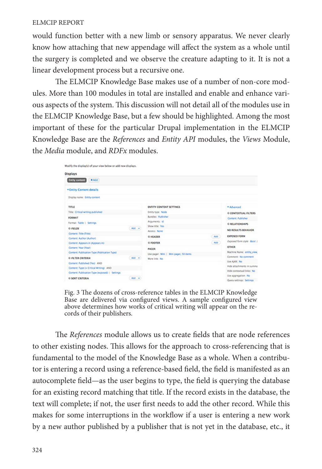would function better with a new limb or sensory apparatus. We never clearly know how attaching that new appendage will affect the system as a whole until the surgery is completed and we observe the creature adapting to it. It is not a linear development process but a recursive one.

The ELMCIP Knowledge Base makes use of a number of non-core modules. More than 100 modules in total are installed and enable and enhance various aspects of the system. This discussion will not detail all of the modules use in the ELMCIP Knowledge Base, but a few should be highlighted. Among the most important of these for the particular Drupal implementation in the ELMCIP Knowledge Base are the *References* and *Entity API* modules, the *Views* Module, the *Media* module, and *RDFx* modules.

| Modify the display(s) of your view below or add new displays. |       |                                        |            |                               |
|---------------------------------------------------------------|-------|----------------------------------------|------------|-------------------------------|
| <b>Displays</b>                                               |       |                                        |            |                               |
| <b>Entity content</b><br>$+$ Add                              |       |                                        |            |                               |
| * Entity Content details                                      |       |                                        |            |                               |
| Disclay name: Entity content                                  |       |                                        |            |                               |
| TITLE                                                         |       | <b>ENTITY CONTENT SETTINGS</b>         | * Advanced |                               |
| Title: Critical writing published                             |       | <b>Entity type: Node</b>               |            |                               |
| <b>FORMAT</b>                                                 |       | Bundles: Publisher                     |            | Content: Publisher            |
| Format: Table   Settings                                      |       | Arguments: id.                         |            | <b><i>G RELATIONSHIPS</i></b> |
| <b>© FIELDS</b>                                               | Add + | Show title: Yes                        |            | NO RESULTS BEHAVIOR           |
| Content: Title (Title)                                        |       | Access: None                           |            |                               |
| Content: Author (Author)                                      |       | <b><i><u>O HEADER</u></i></b>          | Add        | <b>EXPOSED FORM</b>           |
| Content: Appears in (Appears in)                              |       | <b>© FOOTER</b>                        | Add        | Exposed form style: Basic     |
| Content: Year (Year)                                          |       | PACER                                  |            | <b>OTHER</b>                  |
| Content: Publication Type (Publication Type)                  |       | Use pager: Mini   Mini pager, 50 items |            | Machine Name: entity view     |
| <b>O FILTER CRITERIA</b>                                      | Add + | More link: No                          |            | Comment: No comment           |
| Content: Published (Yes) AND                                  |       |                                        |            | Use AMX: No                   |
| Content: Type (= Critical Writing) AND                        |       |                                        |            | Hide attachments in summa     |
| Content: Publication Type (exposed)   Settings                |       |                                        |            | Hide contextual links: No     |
| <b><i>O SORT CRITERIA</i></b>                                 | Add = |                                        |            | Use aggregation: No           |
|                                                               |       |                                        |            | Query settings: Settings      |

Fig. 3 The dozens of cross-reference tables in the ELMCIP Knowledge Base are delivered via configured views. A sample configured view above determines how works of critical writing will appear on the records of their publishers.

The *References* module allows us to create fields that are node references to other existing nodes. This allows for the approach to cross-referencing that is fundamental to the model of the Knowledge Base as a whole. When a contributor is entering a record using a reference-based field, the field is manifested as an autocomplete field—as the user begins to type, the field is querying the database for an existing record matching that title. If the record exists in the database, the text will complete; if not, the user first needs to add the other record. While this makes for some interruptions in the workflow if a user is entering a new work by a new author published by a publisher that is not yet in the database, etc., it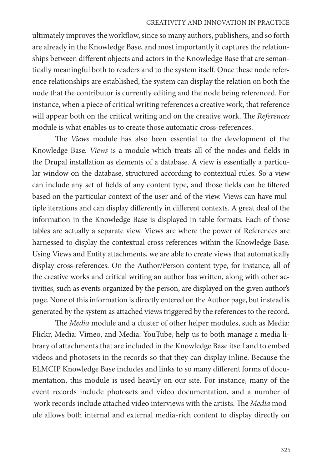#### CREATIVITY AND INNOVATION IN PRACTICE

ultimately improves the workflow, since so many authors, publishers, and so forth are already in the Knowledge Base, and most importantly it captures the relationships between different objects and actors in the Knowledge Base that are semantically meaningful both to readers and to the system itself. Once these node reference relationships are established, the system can display the relation on both the node that the contributor is currently editing and the node being referenced. For instance, when a piece of critical writing references a creative work, that reference will appear both on the critical writing and on the creative work. The *References*  module is what enables us to create those automatic cross-references.

The *Views* module has also been essential to the development of the Knowledge Base. *Views* is a module which treats all of the nodes and fields in the Drupal installation as elements of a database. A view is essentially a particular window on the database, structured according to contextual rules. So a view can include any set of fields of any content type, and those fields can be filtered based on the particular context of the user and of the view. Views can have multiple iterations and can display differently in different contexts. A great deal of the information in the Knowledge Base is displayed in table formats. Each of those tables are actually a separate view. Views are where the power of References are harnessed to display the contextual cross-references within the Knowledge Base. Using Views and Entity attachments, we are able to create views that automatically display cross-references. On the Author/Person content type, for instance, all of the creative works and critical writing an author has written, along with other activities, such as events organized by the person, are displayed on the given author's page. None of this information is directly entered on the Author page, but instead is generated by the system as attached views triggered by the references to the record.

The *Media* module and a cluster of other helper modules, such as Media: Flickr, Media: Vimeo, and Media: YouTube, help us to both manage a media library of attachments that are included in the Knowledge Base itself and to embed videos and photosets in the records so that they can display inline. Because the ELMCIP Knowledge Base includes and links to so many different forms of documentation, this module is used heavily on our site. For instance, many of the event records include photosets and video documentation, and a number of work records include attached video interviews with the artists. The *Media* module allows both internal and external media-rich content to display directly on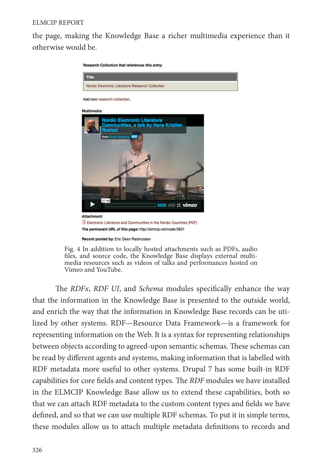the page, making the Knowledge Base a richer multimedia experience than it otherwise would be.



Fig. 4 In addition to locally hosted attachments such as PDFs, audio files, and source code, the Knowledge Base displays external multimedia resources such as videos of talks and performances hosted on Vimeo and YouTube.

The *RDFx*, *RDF UI*, and *Schema* modules specifically enhance the way that the information in the Knowledge Base is presented to the outside world, and enrich the way that the information in Knowledge Base records can be utilized by other systems. RDF—Resource Data Framework—is a framework for representing information on the Web. It is a syntax for representing relationships between objects according to agreed-upon semantic schemas. These schemas can be read by different agents and systems, making information that is labelled with RDF metadata more useful to other systems. Drupal 7 has some built-in RDF capabilities for core fields and content types. The *RDF* modules we have installed in the ELMCIP Knowledge Base allow us to extend these capabilities, both so that we can attach RDF metadata to the custom content types and fields we have defined, and so that we can use multiple RDF schemas. To put it in simple terms, these modules allow us to attach multiple metadata definitions to records and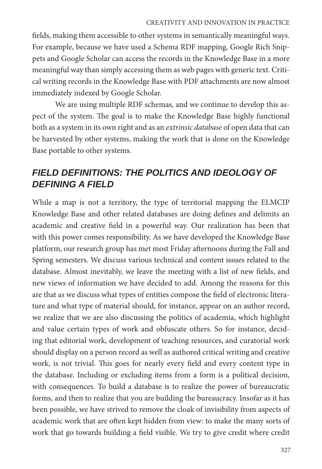#### CREATIVITY AND INNOVATION IN PRACTICE

fields, making them accessible to other systems in semantically meaningful ways. For example, because we have used a Schema RDF mapping, Google Rich Snippets and Google Scholar can access the records in the Knowledge Base in a more meaningful way than simply accessing them as web pages with generic text. Critical writing records in the Knowledge Base with PDF attachments are now almost immediately indexed by Google Scholar.

We are using multiple RDF schemas, and we continue to develop this aspect of the system. The goal is to make the Knowledge Base highly functional both as a system in its own right and as an *extrinsic database* of open data that can be harvested by other systems, making the work that is done on the Knowledge Base portable to other systems.

# *FIELD DEFINITIONS: THE POLITICS AND IDEOLOGY OF DEFINING A FIELD*

While a map is not a territory, the type of territorial mapping the ELMCIP Knowledge Base and other related databases are doing defines and delimits an academic and creative field in a powerful way. Our realization has been that with this power comes responsibility. As we have developed the Knowledge Base platform, our research group has met most Friday afternoons during the Fall and Spring semesters. We discuss various technical and content issues related to the database. Almost inevitably, we leave the meeting with a list of new fields, and new views of information we have decided to add. Among the reasons for this are that as we discuss what types of entities compose the field of electronic literature and what type of material should, for instance, appear on an author record, we realize that we are also discussing the politics of academia, which highlight and value certain types of work and obfuscate others. So for instance, deciding that editorial work, development of teaching resources, and curatorial work should display on a person record as well as authored critical writing and creative work, is not trivial. This goes for nearly every field and every content type in the database. Including or excluding items from a form is a political decision, with consequences. To build a database is to realize the power of bureaucratic forms, and then to realize that you are building the bureaucracy. Insofar as it has been possible, we have strived to remove the cloak of invisibility from aspects of academic work that are often kept hidden from view: to make the many sorts of work that go towards building a field visible. We try to give credit where credit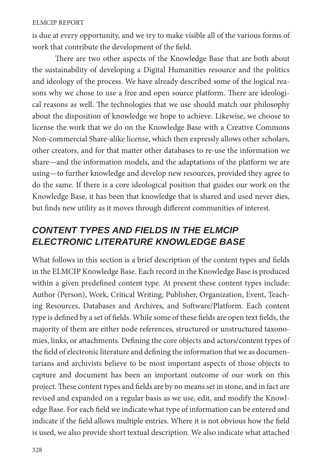is due at every opportunity, and we try to make visible all of the various forms of work that contribute the development of the field.

There are two other aspects of the Knowledge Base that are both about the sustainability of developing a Digital Humanities resource and the politics and ideology of the process. We have already described some of the logical reasons why we chose to use a free and open source platform. There are ideological reasons as well. The technologies that we use should match our philosophy about the disposition of knowledge we hope to achieve. Likewise, we choose to license the work that we do on the Knowledge Base with a Creative Commons Non-commercial Share-alike license, which then expressly allows other scholars, other creators, and for that matter other databases to re-use the information we share—and the information models, and the adaptations of the platform we are using—to further knowledge and develop new resources, provided they agree to do the same. If there is a core ideological position that guides our work on the Knowledge Base, it has been that knowledge that is shared and used never dies, but finds new utility as it moves through different communities of interest.

# *CONTENT TYPES AND FIELDS IN THE ELMCIP ELECTRONIC LITERATURE KNOWLEDGE BASE*

What follows in this section is a brief description of the content types and fields in the ELMCIP Knowledge Base. Each record in the Knowledge Base is produced within a given predefined content type. At present these content types include: Author (Person), Work, Critical Writing, Publisher, Organization, Event, Teaching Resources, Databases and Archives, and Software/Platform. Each content type is defined by a set of fields. While some of these fields are open text fields, the majority of them are either node references, structured or unstructured taxonomies, links, or attachments. Defining the core objects and actors/content types of the field of electronic literature and defining the information that we as documentarians and archivists believe to be most important aspects of those objects to capture and document has been an important outcome of our work on this project. These content types and fields are by no means set in stone, and in fact are revised and expanded on a regular basis as we use, edit, and modify the Knowledge Base. For each field we indicate what type of information can be entered and indicate if the field allows multiple entries. Where it is not obvious how the field is used, we also provide short textual description. We also indicate what attached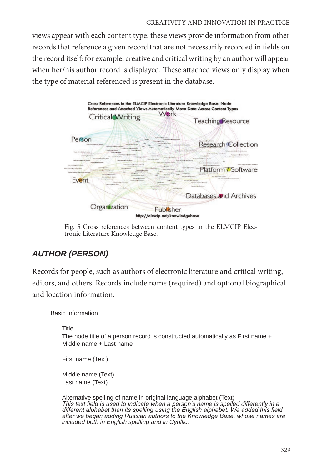### CREATIVITY AND INNOVATION IN PRACTICE

views appear with each content type: these views provide information from other records that reference a given record that are not necessarily recorded in fields on the record itself: for example, creative and critical writing by an author will appear when her/his author record is displayed. These attached views only display when the type of material referenced is present in the database.



Fig. 5 Cross references between content types in the ELMCIP Elec- tronic Literature Knowledge Base.

## *AUTHOR (PERSON)*

Records for people, such as authors of electronic literature and critical writing, editors, and others. Records include name (required) and optional biographical and location information.

Basic Information

**Title** 

The node title of a person record is constructed automatically as First name + Middle name + Last name

First name (Text)

Middle name (Text) Last name (Text)

Alternative spelling of name in original language alphabet (Text) *This text field is used to indicate when a person's name is spelled differently in a different alphabet than its spelling using the English alphabet. We added this field after we began adding Russian authors to the Knowledge Base, whose names are included both in English spelling and in Cyrillic.*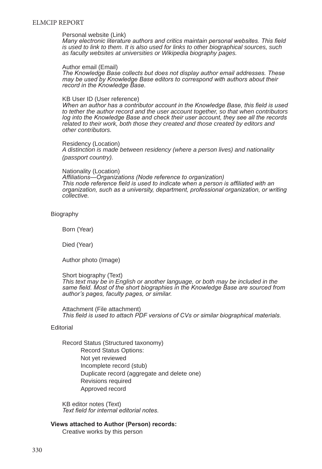#### Personal website (Link)

*Many electronic literature authors and critics maintain personal websites. This field is used to link to them. It is also used for links to other biographical sources, such as faculty websites at universities or Wikipedia biography pages.*

#### Author email (Email)

*The Knowledge Base collects but does not display author email addresses. These may be used by Knowledge Base editors to correspond with authors about their record in the Knowledge Base.*

#### KB User ID (User reference)

*When an author has a contributor account in the Knowledge Base, this field is used to tether the author record and the user account together, so that when contributors log into the Knowledge Base and check their user account, they see all the records related to their work, both those they created and those created by editors and other contributors.*

Residency (Location) *A distinction is made between residency (where a person lives) and nationality (passport country).*

#### Nationality (Location)

*Affiliations—Organizations (Node reference to organization) This node reference field is used to indicate when a person is affiliated with an organization, such as a university, department, professional organization, or writing collective.*

#### Biography

Born (Year)

Died (Year)

Author photo (Image)

Short biography (Text) *This text may be in English or another language, or both may be included in the same field. Most of the short biographies in the Knowledge Base are sourced from author's pages, faculty pages, or similar.*

Attachment (File attachment) *This field is used to attach PDF versions of CVs or similar biographical materials.*

#### **Editorial**

Record Status (Structured taxonomy) Record Status Options: Not yet reviewed Incomplete record (stub) Duplicate record (aggregate and delete one) Revisions required Approved record

KB editor notes (Text) *Text field for internal editorial notes.*

#### **Views attached to Author (Person) records:**

Creative works by this person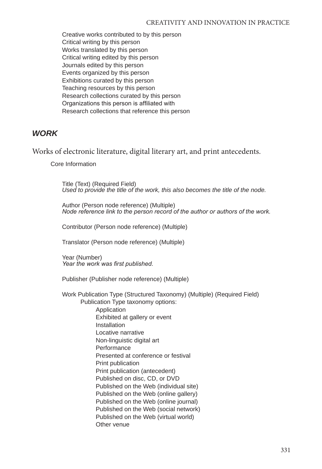Creative works contributed to by this person Critical writing by this person Works translated by this person Critical writing edited by this person Journals edited by this person Events organized by this person Exhibitions curated by this person Teaching resources by this person Research collections curated by this person Organizations this person is affiliated with Research collections that reference this person

### *WORK*

Works of electronic literature, digital literary art, and print antecedents.

Core Information

Title (Text) (Required Field) *Used to provide the title of the work, this also becomes the title of the node.*

Author (Person node reference) (Multiple) *Node reference link to the person record of the author or authors of the work.*

Contributor (Person node reference) (Multiple)

Translator (Person node reference) (Multiple)

Year (Number) *Year the work was first published.*

Publisher (Publisher node reference) (Multiple)

Work Publication Type (Structured Taxonomy) (Multiple) (Required Field)

Publication Type taxonomy options: Application Exhibited at gallery or event Installation Locative narrative Non-linguistic digital art **Performance** Presented at conference or festival Print publication Print publication (antecedent) Published on disc, CD, or DVD Published on the Web (individual site) Published on the Web (online gallery) Published on the Web (online journal) Published on the Web (social network) Published on the Web (virtual world) Other venue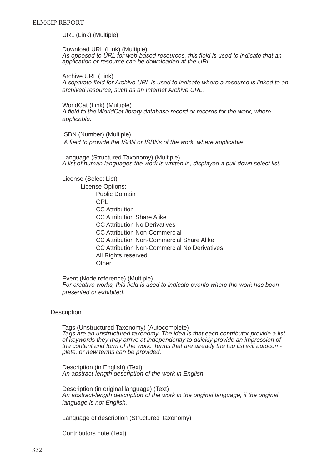URL (Link) (Multiple)

Download URL (Link) (Multiple) *As opposed to URL for web-based resources, this field is used to indicate that an application or resource can be downloaded at the URL.*

Archive URL (Link) *A separate field for Archive URL is used to indicate where a resource is linked to an archived resource, such as an Internet Archive URL.*

WorldCat (Link) (Multiple) *A field to the WorldCat library database record or records for the work, where applicable.*

ISBN (Number) (Multiple)  *A field to provide the ISBN or ISBNs of the work, where applicable.*

Language (Structured Taxonomy) (Multiple) *A list of human languages the work is written in, displayed a pull-down select list.*

License (Select List) License Options: Public Domain GPL CC Attribution CC Attribution Share Alike CC Attribution No Derivatives CC Attribution Non-Commercial CC Attribution Non-Commercial Share Alike CC Attribution Non-Commercial No Derivatives All Rights reserved **Other** 

Event (Node reference) (Multiple) *For creative works, this field is used to indicate events where the work has been presented or exhibited.*

#### **Description**

Tags (Unstructured Taxonomy) (Autocomplete) *Tags are an unstructured taxonomy. The idea is that each contributor provide a list of keywords they may arrive at independently to quickly provide an impression of the content and form of the work. Terms that are already the tag list will autocomplete, or new terms can be provided.*

Description (in English) (Text) *An abstract-length description of the work in English.*

Description (in original language) (Text) *An abstract-length description of the work in the original language, if the original language is not English.*

Language of description (Structured Taxonomy)

Contributors note (Text)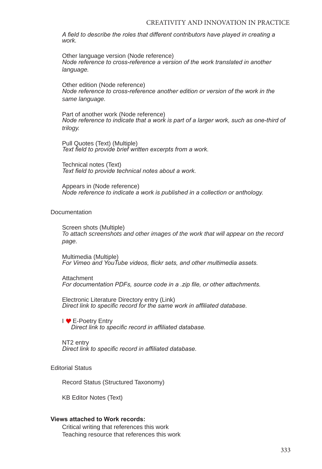*A field to describe the roles that different contributors have played in creating a work.*

Other language version (Node reference) *Node reference to cross-reference a version of the work translated in another language.*

Other edition (Node reference) *Node reference to cross-reference another edition or version of the work in the same language.*

Part of another work (Node reference) *Node reference to indicate that a work is part of a larger work, such as one-third of trilogy.*

Pull Quotes (Text) (Multiple) *Text field to provide brief written excerpts from a work.*

Technical notes (Text) *Text field to provide technical notes about a work.*

Appears in (Node reference) *Node reference to indicate a work is published in a collection or anthology.*

#### **Documentation**

Screen shots (Multiple) *To attach screenshots and other images of the work that will appear on the record page.* 

Multimedia (Multiple) *For Vimeo and YouTube videos, flickr sets, and other multimedia assets.*

Attachment *For documentation PDFs, source code in a .zip file, or other attachments.*

Electronic Literature Directory entry (Link) *Direct link to specific record for the same work in affiliated database.*

I <sup>●</sup> E-Poetry Entry *Direct link to specific record in affiliated database.*

NT2 entry *Direct link to specific record in affiliated database.* 

#### Editorial Status

Record Status (Structured Taxonomy)

KB Editor Notes (Text)

#### **Views attached to Work records:**

Critical writing that references this work Teaching resource that references this work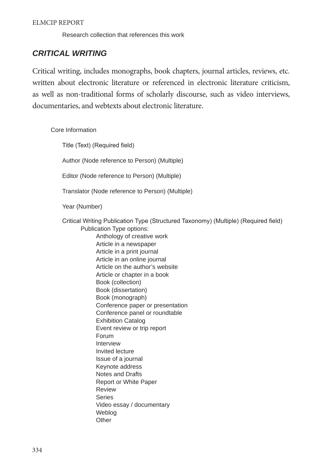Research collection that references this work

### *CRITICAL WRITING*

Critical writing, includes monographs, book chapters, journal articles, reviews, etc. written about electronic literature or referenced in electronic literature criticism, as well as non-traditional forms of scholarly discourse, such as video interviews, documentaries, and webtexts about electronic literature.

Core Information

Title (Text) (Required field)

Author (Node reference to Person) (Multiple)

Editor (Node reference to Person) (Multiple)

Translator (Node reference to Person) (Multiple)

Year (Number)

Critical Writing Publication Type (Structured Taxonomy) (Multiple) (Required field) Publication Type options:

Anthology of creative work Article in a newspaper Article in a print journal Article in an online journal Article on the author's website Article or chapter in a book Book (collection) Book (dissertation) Book (monograph) Conference paper or presentation Conference panel or roundtable Exhibition Catalog Event review or trip report Forum Interview Invited lecture Issue of a journal Keynote address Notes and Drafts Report or White Paper Review **Series** Video essay / documentary Weblog **Other**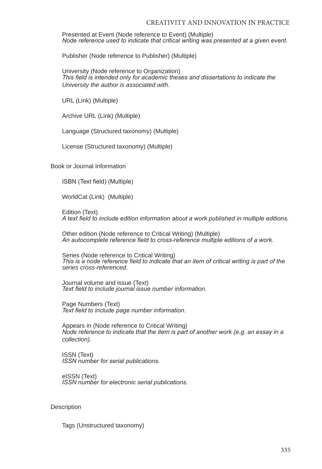Presented at Event (Node reference to Event) (Multiple) *Node reference used to indicate that critical writing was presented at a given event.*

Publisher (Node reference to Publisher) (Multiple)

University (Node reference to Organization) *This field is intended only for academic theses and dissertations to indicate the University the author is associated with.*

URL (Link) (Multiple)

Archive URL (Link) (Multiple)

Language (Structured taxonomy) (Multiple)

License (Structured taxonomy) (Multiple)

Book or Journal Information

ISBN (Text field) (Multiple)

WorldCat (Link) (Multiple)

Edition (Text) *A text field to include edition information about a work published in multiple editions.*

Other edition (Node reference to Critical Writing) (Multiple) *An autocomplete reference field to cross-reference multiple editions of a work.*

Series (Node reference to Critical Writing) *This is a node reference field to indicate that an item of critical writing is part of the series cross-referenced.*

Journal volume and issue (Text) *Text field to include journal issue number information.*

Page Numbers (Text) *Text field to include page number information.*

Appears in (Node reference to Critical Writing) *Node reference to indicate that the item is part of another work (e.g. an essay in a collection).*

ISSN (Text) *ISSN number for serial publications.*

eISSN (Text) *ISSN number for electronic serial publications.*

#### Description

Tags (Unstructured taxonomy)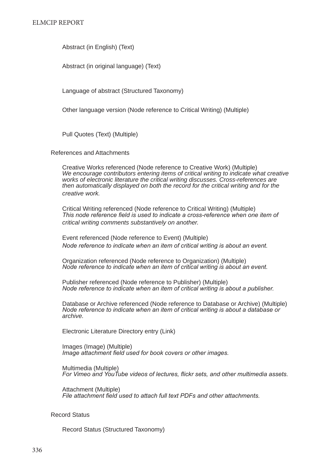Abstract (in English) (Text)

Abstract (in original language) (Text)

Language of abstract (Structured Taxonomy)

Other language version (Node reference to Critical Writing) (Multiple)

Pull Quotes (Text) (Multiple)

#### References and Attachments

Creative Works referenced (Node reference to Creative Work) (Multiple) *We encourage contributors entering items of critical writing to indicate what creative works of electronic literature the critical writing discusses. Cross-references are then automatically displayed on both the record for the critical writing and for the creative work.*

Critical Writing referenced (Node reference to Critical Writing) (Multiple) *This node reference field is used to indicate a cross-reference when one item of critical writing comments substantively on another.*

Event referenced (Node reference to Event) (Multiple) *Node reference to indicate when an item of critical writing is about an event.*

Organization referenced (Node reference to Organization) (Multiple) *Node reference to indicate when an item of critical writing is about an event.* 

Publisher referenced (Node reference to Publisher) (Multiple) *Node reference to indicate when an item of critical writing is about a publisher.* 

Database or Archive referenced (Node reference to Database or Archive) (Multiple) *Node reference to indicate when an item of critical writing is about a database or archive.* 

Electronic Literature Directory entry (Link)

Images (Image) (Multiple) *Image attachment field used for book covers or other images.*

Multimedia (Multiple) *For Vimeo and YouTube videos of lectures, flickr sets, and other multimedia assets.*

Attachment (Multiple) *File attachment field used to attach full text PDFs and other attachments.*

#### Record Status

Record Status (Structured Taxonomy)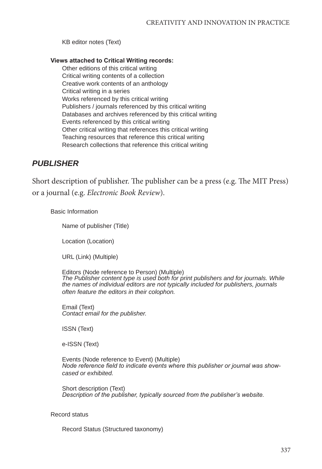KB editor notes (Text)

#### **Views attached to Critical Writing records:**

Other editions of this critical writing Critical writing contents of a collection Creative work contents of an anthology Critical writing in a series Works referenced by this critical writing Publishers / journals referenced by this critical writing Databases and archives referenced by this critical writing Events referenced by this critical writing Other critical writing that references this critical writing Teaching resources that reference this critical writing Research collections that reference this critical writing

### *PUBLISHER*

Short description of publisher. The publisher can be a press (e.g. The MIT Press) or a journal (e.g. *Electronic Book Review*).

#### Basic Information

Name of publisher (Title)

Location (Location)

URL (Link) (Multiple)

Editors (Node reference to Person) (Multiple) *The Publisher content type is used both for print publishers and for journals. While the names of individual editors are not typically included for publishers, journals often feature the editors in their colophon.*

Email (Text) *Contact email for the publisher.*

ISSN (Text)

e-ISSN (Text)

Events (Node reference to Event) (Multiple) *Node reference field to indicate events where this publisher or journal was showcased or exhibited.* 

Short description (Text) *Description of the publisher, typically sourced from the publisher's website.*

#### Record status

Record Status (Structured taxonomy)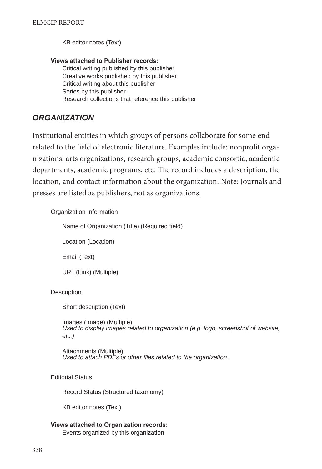KB editor notes (Text)

**Views attached to Publisher records:** Critical writing published by this publisher Creative works published by this publisher Critical writing about this publisher Series by this publisher Research collections that reference this publisher

### *ORGANIZATION*

Institutional entities in which groups of persons collaborate for some end related to the field of electronic literature. Examples include: nonprofit organizations, arts organizations, research groups, academic consortia, academic departments, academic programs, etc. The record includes a description, the location, and contact information about the organization. Note: Journals and presses are listed as publishers, not as organizations.

#### Organization Information

Name of Organization (Title) (Required field)

Location (Location)

Email (Text)

URL (Link) (Multiple)

#### **Description**

Short description (Text)

Images (Image) (Multiple) *Used to display images related to organization (e.g. logo, screenshot of website, etc.)*

Attachments (Multiple) *Used to attach PDFs or other files related to the organization.*

Editorial Status

Record Status (Structured taxonomy)

KB editor notes (Text)

#### **Views attached to Organization records:** Events organized by this organization

338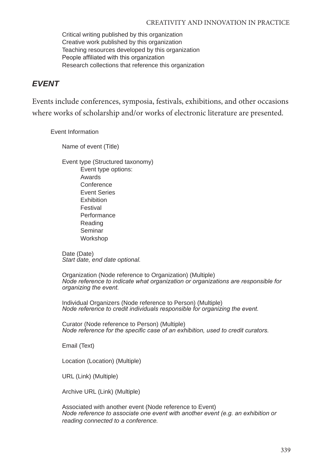Critical writing published by this organization Creative work published by this organization Teaching resources developed by this organization People affiliated with this organization Research collections that reference this organization

### *EVENT*

Events include conferences, symposia, festivals, exhibitions, and other occasions where works of scholarship and/or works of electronic literature are presented.

Event Information

Name of event (Title)

Event type (Structured taxonomy) Event type options: Awards **Conference** Event Series Exhibition Festival Performance Reading Seminar Workshop

Date (Date) *Start date, end date optional.*

Organization (Node reference to Organization) (Multiple) *Node reference to indicate what organization or organizations are responsible for organizing the event.*

Individual Organizers (Node reference to Person) (Multiple) *Node reference to credit individuals responsible for organizing the event.* 

Curator (Node reference to Person) (Multiple) *Node reference for the specific case of an exhibition, used to credit curators.*

Email (Text)

Location (Location) (Multiple)

URL (Link) (Multiple)

Archive URL (Link) (Multiple)

Associated with another event (Node reference to Event) *Node reference to associate one event with another event (e.g. an exhibition or reading connected to a conference.*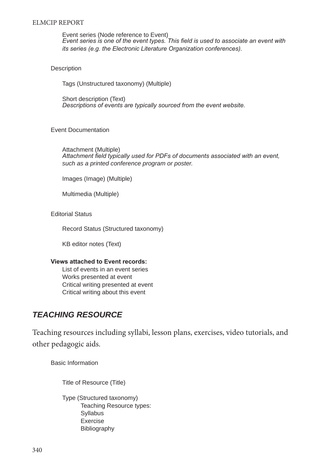Event series (Node reference to Event) *Event series is one of the event types. This field is used to associate an event with its series (e.g. the Electronic Literature Organization conferences).*

#### **Description**

Tags (Unstructured taxonomy) (Multiple)

Short description (Text) *Descriptions of events are typically sourced from the event website.*

#### Event Documentation

Attachment (Multiple) *Attachment field typically used for PDFs of documents associated with an event, such as a printed conference program or poster.*

Images (Image) (Multiple)

Multimedia (Multiple)

Editorial Status

Record Status (Structured taxonomy)

KB editor notes (Text)

#### **Views attached to Event records:**

List of events in an event series Works presented at event Critical writing presented at event Critical writing about this event

### *TEACHING RESOURCE*

Teaching resources including syllabi, lesson plans, exercises, video tutorials, and other pedagogic aids.

Basic Information

Title of Resource (Title)

Type (Structured taxonomy) Teaching Resource types: Syllabus Exercise Bibliography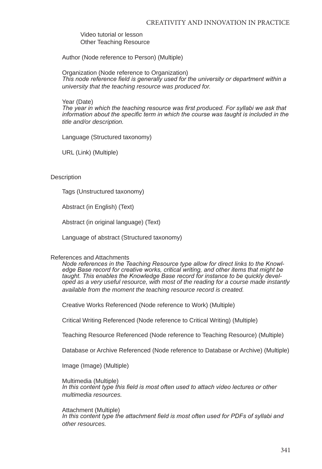Video tutorial or lesson Other Teaching Resource

Author (Node reference to Person) (Multiple)

Organization (Node reference to Organization) *This node reference field is generally used for the university or department within a university that the teaching resource was produced for.*

Year (Date)

*The year in which the teaching resource was first produced. For syllabi we ask that information about the specific term in which the course was taught is included in the title and/or description.*

Language (Structured taxonomy)

URL (Link) (Multiple)

**Description** 

Tags (Unstructured taxonomy)

Abstract (in English) (Text)

Abstract (in original language) (Text)

Language of abstract (Structured taxonomy)

#### References and Attachments

*Node references in the Teaching Resource type allow for direct links to the Knowledge Base record for creative works, critical writing, and other items that might be taught. This enables the Knowledge Base record for instance to be quickly developed as a very useful resource, with most of the reading for a course made instantly available from the moment the teaching resource record is created.* 

Creative Works Referenced (Node reference to Work) (Multiple)

Critical Writing Referenced (Node reference to Critical Writing) (Multiple)

Teaching Resource Referenced (Node reference to Teaching Resource) (Multiple)

Database or Archive Referenced (Node reference to Database or Archive) (Multiple)

Image (Image) (Multiple)

Multimedia (Multiple) *In this content type this field is most often used to attach video lectures or other multimedia resources.*

Attachment (Multiple) In this content type the attachment field is most often used for PDFs of syllabi and *other resources.*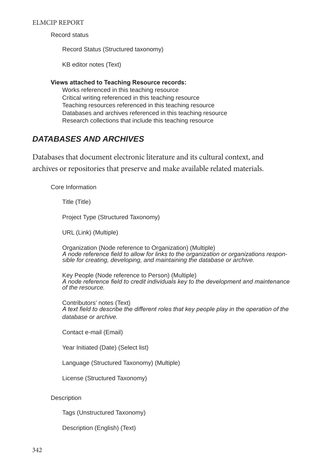Record status

Record Status (Structured taxonomy)

KB editor notes (Text)

#### **Views attached to Teaching Resource records:**

Works referenced in this teaching resource Critical writing referenced in this teaching resource Teaching resources referenced in this teaching resource Databases and archives referenced in this teaching resource Research collections that include this teaching resource

### *DATABASES AND ARCHIVES*

Databases that document electronic literature and its cultural context, and archives or repositories that preserve and make available related materials.

Core Information

Title (Title)

Project Type (Structured Taxonomy)

URL (Link) (Multiple)

Organization (Node reference to Organization) (Multiple) *A node reference field to allow for links to the organization or organizations responsible for creating, developing, and maintaining the database or archive.*

Key People (Node reference to Person) (Multiple) *A node reference field to credit individuals key to the development and maintenance of the resource.*

Contributors' notes (Text) *A text field to describe the different roles that key people play in the operation of the database or archive.*

Contact e-mail (Email)

Year Initiated (Date) (Select list)

Language (Structured Taxonomy) (Multiple)

License (Structured Taxonomy)

**Description** 

Tags (Unstructured Taxonomy)

Description (English) (Text)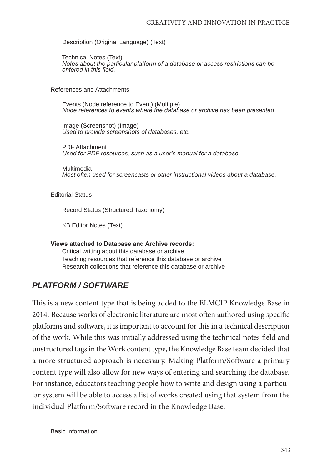Description (Original Language) (Text)

Technical Notes (Text) *Notes about the particular platform of a database or access restrictions can be entered in this field.*

References and Attachments

Events (Node reference to Event) (Multiple) *Node references to events where the database or archive has been presented.*

Image (Screenshot) (Image) *Used to provide screenshots of databases, etc.*

PDF Attachment *Used for PDF resources, such as a user's manual for a database.*

Multimedia *Most often used for screencasts or other instructional videos about a database.*

Editorial Status

Record Status (Structured Taxonomy)

KB Editor Notes (Text)

### **Views attached to Database and Archive records:**

Critical writing about this database or archive Teaching resources that reference this database or archive Research collections that reference this database or archive

### *PLATFORM / SOFTWARE*

This is a new content type that is being added to the ELMCIP Knowledge Base in 2014. Because works of electronic literature are most often authored using specific platforms and software, it is important to account for this in a technical description of the work. While this was initially addressed using the technical notes field and unstructured tags in the Work content type, the Knowledge Base team decided that a more structured approach is necessary. Making Platform/Software a primary content type will also allow for new ways of entering and searching the database. For instance, educators teaching people how to write and design using a particular system will be able to access a list of works created using that system from the individual Platform/Software record in the Knowledge Base.

Basic information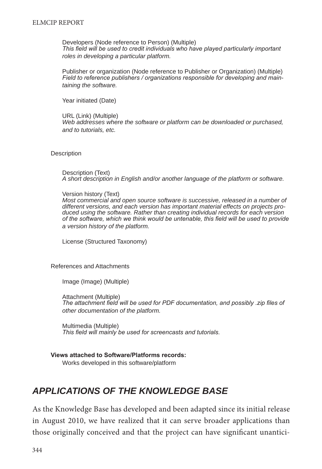Developers (Node reference to Person) (Multiple) *This field will be used to credit individuals who have played particularly important roles in developing a particular platform.*

Publisher or organization (Node reference to Publisher or Organization) (Multiple) *Field to reference publishers / organizations responsible for developing and maintaining the software.*

Year initiated (Date)

URL (Link) (Multiple) *Web addresses where the software or platform can be downloaded or purchased, and to tutorials, etc.*

**Description** 

Description (Text) *A short description in English and/or another language of the platform or software.*

Version history (Text) *Most commercial and open source software is successive, released in a number of different versions, and each version has important material effects on projects produced using the software. Rather than creating individual records for each version of the software, which we think would be untenable, this field will be used to provide a version history of the platform.*

License (Structured Taxonomy)

References and Attachments

Image (Image) (Multiple)

Attachment (Multiple) *The attachment field will be used for PDF documentation, and possibly .zip files of other documentation of the platform.*

Multimedia (Multiple) *This field will mainly be used for screencasts and tutorials.*

**Views attached to Software/Platforms records:** Works developed in this software/platform

# *APPLICATIONS OF THE KNOWLEDGE BASE*

As the Knowledge Base has developed and been adapted since its initial release in August 2010, we have realized that it can serve broader applications than those originally conceived and that the project can have significant unantici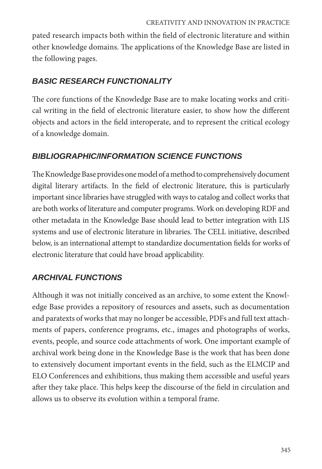pated research impacts both within the field of electronic literature and within other knowledge domains. The applications of the Knowledge Base are listed in the following pages.

# *BASIC RESEARCH FUNCTIONALITY*

The core functions of the Knowledge Base are to make locating works and critical writing in the field of electronic literature easier, to show how the different objects and actors in the field interoperate, and to represent the critical ecology of a knowledge domain.

# *BIBLIOGRAPHIC/INFORMATION SCIENCE FUNCTIONS*

The Knowledge Base provides one model of a method to comprehensively document digital literary artifacts. In the field of electronic literature, this is particularly important since libraries have struggled with ways to catalog and collect works that are both works of literature and computer programs. Work on developing RDF and other metadata in the Knowledge Base should lead to better integration with LIS systems and use of electronic literature in libraries. The CELL initiative, described below, is an international attempt to standardize documentation fields for works of electronic literature that could have broad applicability.

# *ARCHIVAL FUNCTIONS*

Although it was not initially conceived as an archive, to some extent the Knowledge Base provides a repository of resources and assets, such as documentation and paratexts of works that may no longer be accessible, PDFs and full text attachments of papers, conference programs, etc., images and photographs of works, events, people, and source code attachments of work. One important example of archival work being done in the Knowledge Base is the work that has been done to extensively document important events in the field, such as the ELMCIP and ELO Conferences and exhibitions, thus making them accessible and useful years after they take place. This helps keep the discourse of the field in circulation and allows us to observe its evolution within a temporal frame.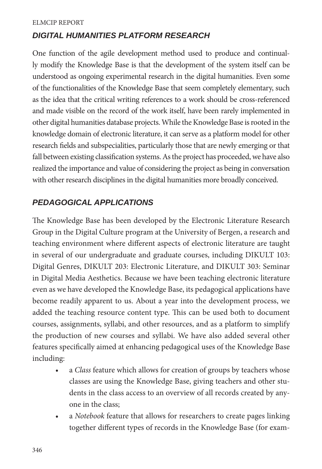### *DIGITAL HUMANITIES PLATFORM RESEARCH*

One function of the agile development method used to produce and continually modify the Knowledge Base is that the development of the system itself can be understood as ongoing experimental research in the digital humanities. Even some of the functionalities of the Knowledge Base that seem completely elementary, such as the idea that the critical writing references to a work should be cross-referenced and made visible on the record of the work itself, have been rarely implemented in other digital humanities database projects. While the Knowledge Base is rooted in the knowledge domain of electronic literature, it can serve as a platform model for other research fields and subspecialities, particularly those that are newly emerging or that fall between existing classification systems. As the project has proceeded, we have also realized the importance and value of considering the project as being in conversation with other research disciplines in the digital humanities more broadly conceived.

## *PEDAGOGICAL APPLICATIONS*

The Knowledge Base has been developed by the Electronic Literature Research Group in the Digital Culture program at the University of Bergen, a research and teaching environment where different aspects of electronic literature are taught in several of our undergraduate and graduate courses, including DIKULT 103: Digital Genres, DIKULT 203: Electronic Literature, and DIKULT 303: Seminar in Digital Media Aesthetics. Because we have been teaching electronic literature even as we have developed the Knowledge Base, its pedagogical applications have become readily apparent to us. About a year into the development process, we added the teaching resource content type. This can be used both to document courses, assignments, syllabi, and other resources, and as a platform to simplify the production of new courses and syllabi. We have also added several other features specifically aimed at enhancing pedagogical uses of the Knowledge Base including:

- a *Class* feature which allows for creation of groups by teachers whose classes are using the Knowledge Base, giving teachers and other students in the class access to an overview of all records created by anyone in the class;
- a *Notebook* feature that allows for researchers to create pages linking together different types of records in the Knowledge Base (for exam-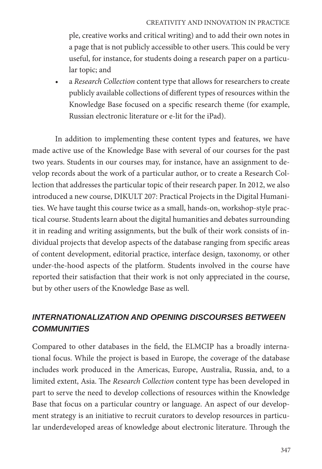ple, creative works and critical writing) and to add their own notes in a page that is not publicly accessible to other users. This could be very useful, for instance, for students doing a research paper on a particular topic; and

• a *Research Collection* content type that allows for researchers to create publicly available collections of different types of resources within the Knowledge Base focused on a specific research theme (for example, Russian electronic literature or e-lit for the iPad).

In addition to implementing these content types and features, we have made active use of the Knowledge Base with several of our courses for the past two years. Students in our courses may, for instance, have an assignment to develop records about the work of a particular author, or to create a Research Collection that addresses the particular topic of their research paper. In 2012, we also introduced a new course, DIKULT 207: Practical Projects in the Digital Humanities. We have taught this course twice as a small, hands-on, workshop-style practical course. Students learn about the digital humanities and debates surrounding it in reading and writing assignments, but the bulk of their work consists of individual projects that develop aspects of the database ranging from specific areas of content development, editorial practice, interface design, taxonomy, or other under-the-hood aspects of the platform. Students involved in the course have reported their satisfaction that their work is not only appreciated in the course, but by other users of the Knowledge Base as well.

# *INTERNATIONALIZATION AND OPENING DISCOURSES BETWEEN COMMUNITIES*

Compared to other databases in the field, the ELMCIP has a broadly international focus. While the project is based in Europe, the coverage of the database includes work produced in the Americas, Europe, Australia, Russia, and, to a limited extent, Asia. The *Research Collection* content type has been developed in part to serve the need to develop collections of resources within the Knowledge Base that focus on a particular country or language. An aspect of our development strategy is an initiative to recruit curators to develop resources in particular underdeveloped areas of knowledge about electronic literature. Through the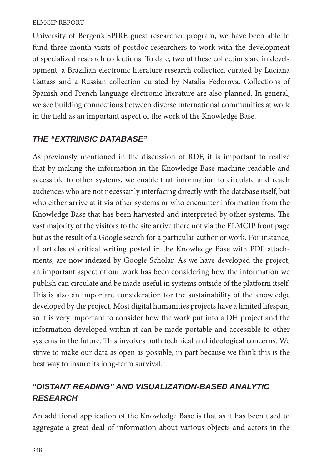University of Bergen's SPIRE guest researcher program, we have been able to fund three-month visits of postdoc researchers to work with the development of specialized research collections. To date, two of these collections are in development: a Brazilian electronic literature research collection curated by Luciana Gattass and a Russian collection curated by Natalia Fedorova. Collections of Spanish and French language electronic literature are also planned. In general, we see building connections between diverse international communities at work in the field as an important aspect of the work of the Knowledge Base.

### *THE "EXTRINSIC DATABASE"*

As previously mentioned in the discussion of RDF, it is important to realize that by making the information in the Knowledge Base machine-readable and accessible to other systems, we enable that information to circulate and reach audiences who are not necessarily interfacing directly with the database itself, but who either arrive at it via other systems or who encounter information from the Knowledge Base that has been harvested and interpreted by other systems. The vast majority of the visitors to the site arrive there not via the ELMCIP front page but as the result of a Google search for a particular author or work. For instance, all articles of critical writing posted in the Knowledge Base with PDF attachments, are now indexed by Google Scholar. As we have developed the project, an important aspect of our work has been considering how the information we publish can circulate and be made useful in systems outside of the platform itself. This is also an important consideration for the sustainability of the knowledge developed by the project. Most digital humanities projects have a limited lifespan, so it is very important to consider how the work put into a DH project and the information developed within it can be made portable and accessible to other systems in the future. This involves both technical and ideological concerns. We strive to make our data as open as possible, in part because we think this is the best way to insure its long-term survival.

# *"DISTANT READING" AND VISUALIZATION-BASED ANALYTIC RESEARCH*

An additional application of the Knowledge Base is that as it has been used to aggregate a great deal of information about various objects and actors in the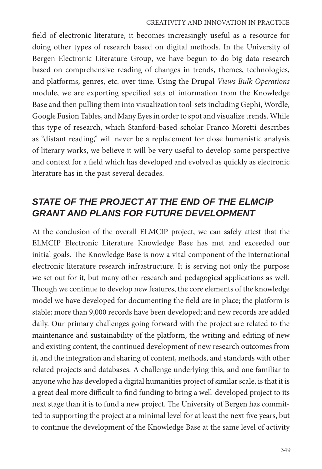#### CREATIVITY AND INNOVATION IN PRACTICE

field of electronic literature, it becomes increasingly useful as a resource for doing other types of research based on digital methods. In the University of Bergen Electronic Literature Group, we have begun to do big data research based on comprehensive reading of changes in trends, themes, technologies, and platforms, genres, etc. over time. Using the Drupal *Views Bulk Operations* module, we are exporting specified sets of information from the Knowledge Base and then pulling them into visualization tool-sets including Gephi, Wordle, Google Fusion Tables, and Many Eyes in order to spot and visualize trends. While this type of research, which Stanford-based scholar Franco Moretti describes as "distant reading," will never be a replacement for close humanistic analysis of literary works, we believe it will be very useful to develop some perspective and context for a field which has developed and evolved as quickly as electronic literature has in the past several decades.

# *STATE OF THE PROJECT AT THE END OF THE ELMCIP GRANT AND PLANS FOR FUTURE DEVELOPMENT*

At the conclusion of the overall ELMCIP project, we can safely attest that the ELMCIP Electronic Literature Knowledge Base has met and exceeded our initial goals. The Knowledge Base is now a vital component of the international electronic literature research infrastructure. It is serving not only the purpose we set out for it, but many other research and pedagogical applications as well. Though we continue to develop new features, the core elements of the knowledge model we have developed for documenting the field are in place; the platform is stable; more than 9,000 records have been developed; and new records are added daily. Our primary challenges going forward with the project are related to the maintenance and sustainability of the platform, the writing and editing of new and existing content, the continued development of new research outcomes from it, and the integration and sharing of content, methods, and standards with other related projects and databases. A challenge underlying this, and one familiar to anyone who has developed a digital humanities project of similar scale, is that it is a great deal more difficult to find funding to bring a well-developed project to its next stage than it is to fund a new project. The University of Bergen has committed to supporting the project at a minimal level for at least the next five years, but to continue the development of the Knowledge Base at the same level of activity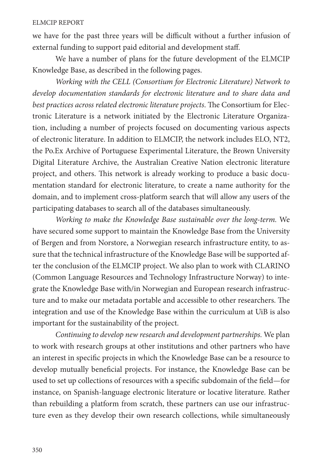we have for the past three years will be difficult without a further infusion of external funding to support paid editorial and development staff.

We have a number of plans for the future development of the ELMCIP Knowledge Base, as described in the following pages.

*Working with the CELL (Consortium for Electronic Literature) Network to develop documentation standards for electronic literature and to share data and best practices across related electronic literature projects*. The Consortium for Electronic Literature is a network initiated by the Electronic Literature Organization, including a number of projects focused on documenting various aspects of electronic literature. In addition to ELMCIP, the network includes ELO, NT2, the Po.Ex Archive of Portuguese Experimental Literature, the Brown University Digital Literature Archive, the Australian Creative Nation electronic literature project, and others. This network is already working to produce a basic documentation standard for electronic literature, to create a name authority for the domain, and to implement cross-platform search that will allow any users of the participating databases to search all of the databases simultaneously.

*Working to make the Knowledge Base sustainable over the long-term.* We have secured some support to maintain the Knowledge Base from the University of Bergen and from Norstore, a Norwegian research infrastructure entity, to assure that the technical infrastructure of the Knowledge Base will be supported after the conclusion of the ELMCIP project. We also plan to work with CLARINO (Common Language Resources and Technology Infrastructure Norway) to integrate the Knowledge Base with/in Norwegian and European research infrastructure and to make our metadata portable and accessible to other researchers. The integration and use of the Knowledge Base within the curriculum at UiB is also important for the sustainability of the project.

*Continuing to develop new research and development partnerships.* We plan to work with research groups at other institutions and other partners who have an interest in specific projects in which the Knowledge Base can be a resource to develop mutually beneficial projects. For instance, the Knowledge Base can be used to set up collections of resources with a specific subdomain of the field—for instance, on Spanish-language electronic literature or locative literature. Rather than rebuilding a platform from scratch, these partners can use our infrastructure even as they develop their own research collections, while simultaneously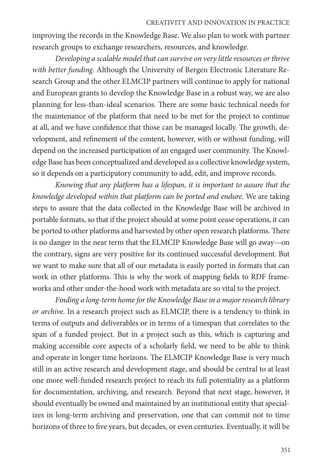#### CREATIVITY AND INNOVATION IN PRACTICE

improving the records in the Knowledge Base. We also plan to work with partner research groups to exchange researchers, resources, and knowledge.

*Developing a scalable model that can survive on very little resources or thrive with better funding*. Although the University of Bergen Electronic Literature Research Group and the other ELMCIP partners will continue to apply for national and European grants to develop the Knowledge Base in a robust way, we are also planning for less-than-ideal scenarios. There are some basic technical needs for the maintenance of the platform that need to be met for the project to continue at all, and we have confidence that those can be managed locally. The growth, development, and refinement of the content, however, with or without funding, will depend on the increased participation of an engaged user community. The Knowledge Base has been conceptualized and developed as a collective knowledge system, so it depends on a participatory community to add, edit, and improve records.

*Knowing that any platform has a lifespan, it is important to assure that the knowledge developed within that platform can be ported and endure.* We are taking steps to assure that the data collected in the Knowledge Base will be archived in portable formats, so that if the project should at some point cease operations, it can be ported to other platforms and harvested by other open research platforms. There is no danger in the near term that the ELMCIP Knowledge Base will go away—on the contrary, signs are very positive for its continued successful development. But we want to make sure that all of our metadata is easily ported in formats that can work in other platforms. This is why the work of mapping fields to RDF frameworks and other under-the-hood work with metadata are so vital to the project.

*Finding a long-term home for the Knowledge Base in a major research library or archive.* In a research project such as ELMCIP, there is a tendency to think in terms of outputs and deliverables or in terms of a timespan that correlates to the span of a funded project. But in a project such as this, which is capturing and making accessible core aspects of a scholarly field, we need to be able to think and operate in longer time horizons. The ELMCIP Knowledge Base is very much still in an active research and development stage, and should be central to at least one more well-funded research project to reach its full potentiality as a platform for documentation, archiving, and research. Beyond that next stage, however, it should eventually be owned and maintained by an institutional entity that specializes in long-term archiving and preservation, one that can commit not to time horizons of three to five years, but decades, or even centuries. Eventually, it will be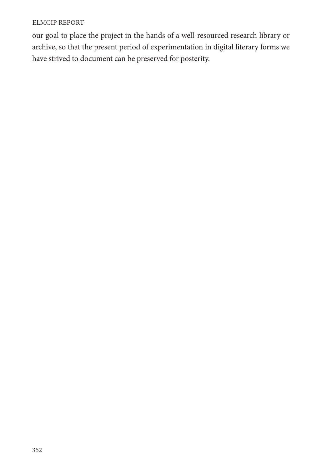our goal to place the project in the hands of a well-resourced research library or archive, so that the present period of experimentation in digital literary forms we have strived to document can be preserved for posterity.